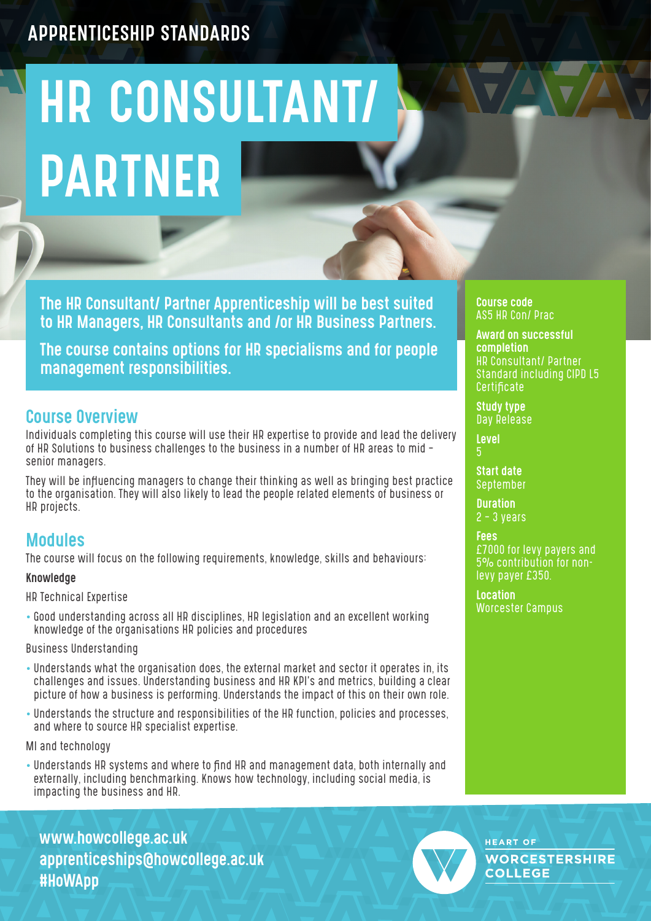# HR CONSULTANT/ PARTNER

The HR Consultant/ Partner Apprenticeship will be best suited to HR Managers, HR Consultants and /or HR Business Partners.

The course contains options for HR specialisms and for people management responsibilities.

## Course Overview

Individuals completing this course will use their HR expertise to provide and lead the delivery of HR Solutions to business challenges to the business in a number of HR areas to mid – senior managers.

They will be influencing managers to change their thinking as well as bringing best practice to the organisation. They will also likely to lead the people related elements of business or HR projects.

## Modules

The course will focus on the following requirements, knowledge, skills and behaviours:

#### Knowledge

HR Technical Expertise

• Good understanding across all HR disciplines, HR legislation and an excellent working knowledge of the organisations HR policies and procedures

Business Understanding

- Understands what the organisation does, the external market and sector it operates in, its challenges and issues. Understanding business and HR KPI's and metrics, building a clear picture of how a business is performing. Understands the impact of this on their own role.
- Understands the structure and responsibilities of the HR function, policies and processes, and where to source HR specialist expertise.

MI and technology

• Understands HR systems and where to find HR and management data, both internally and externally, including benchmarking. Knows how technology, including social media, is impacting the business and HR.

www.howcollege.ac.uk apprenticeships@howcollege.ac.uk #HoWApp



**HEART OF WORCESTERSHIRE COLLEGE** 

Course code AS5 HR Con/ Prac

Award on successful completion HR Consultant/ Partner Standard including CIPD L5 **Certificate** 

Study type Day Release

Level

Start date September

**Duration** 2 – 3 years

Fees £7000 for levy payers and 5% contribution for nonlevy payer £350.

Location Worcester Campus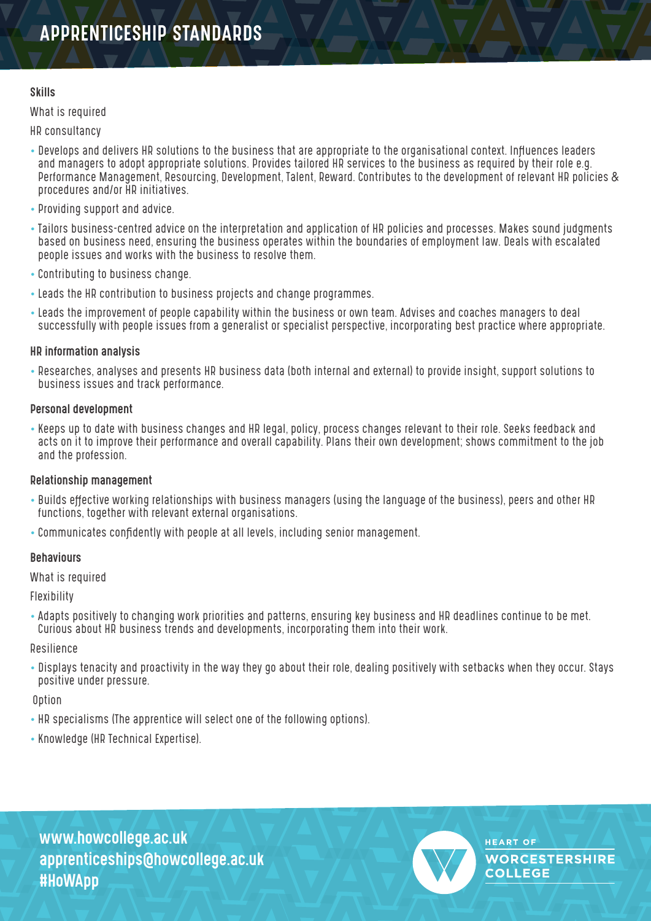#### Skills

#### What is required

HR consultancy

- Develops and delivers HR solutions to the business that are appropriate to the organisational context. Influences leaders and managers to adopt appropriate solutions. Provides tailored HR services to the business as required by their role e.g. Performance Management, Resourcing, Development, Talent, Reward. Contributes to the development of relevant HR policies & procedures and/or HR initiatives.
- Providing support and advice.
- Tailors business-centred advice on the interpretation and application of HR policies and processes. Makes sound judgments based on business need, ensuring the business operates within the boundaries of employment law. Deals with escalated people issues and works with the business to resolve them.
- Contributing to business change.
- Leads the HR contribution to business projects and change programmes.
- Leads the improvement of people capability within the business or own team. Advises and coaches managers to deal successfully with people issues from a generalist or specialist perspective, incorporating best practice where appropriate.

#### HR information analysis

• Researches, analyses and presents HR business data (both internal and external) to provide insight, support solutions to business issues and track performance.

#### Personal development

• Keeps up to date with business changes and HR legal, policy, process changes relevant to their role. Seeks feedback and acts on it to improve their performance and overall capability. Plans their own development; shows commitment to the job and the profession.

#### Relationship management

- Builds effective working relationships with business managers (using the language of the business), peers and other HR functions, together with relevant external organisations.
- Communicates confidently with people at all levels, including senior management.

#### **Behaviours**

What is required

Flexibility

• Adapts positively to changing work priorities and patterns, ensuring key business and HR deadlines continue to be met. Curious about HR business trends and developments, incorporating them into their work.

#### Resilience

• Displays tenacity and proactivity in the way they go about their role, dealing positively with setbacks when they occur. Stays positive under pressure.

**Option** 

- HR specialisms (The apprentice will select one of the following options).
- Knowledge (HR Technical Expertise).

www.howcollege.ac.uk apprenticeships@howcollege.ac.uk #HoWApp



**HEART OF WORCESTERSHIRE COLLEGE**